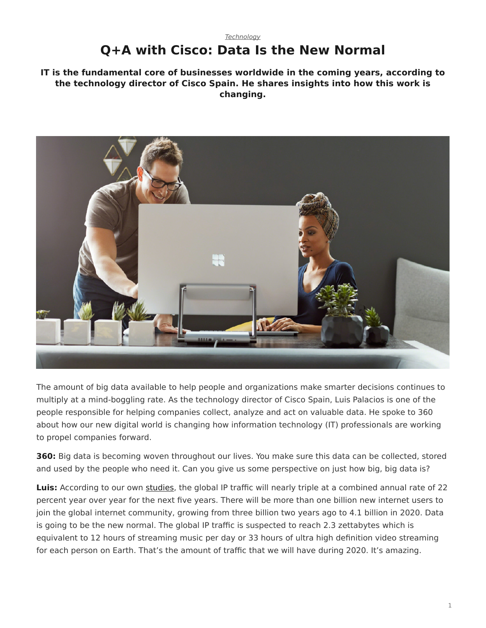## <span id="page-0-0"></span>*[Technology](https://www.steelcase.com/research/topics/technology/)* **Q+A with Cisco: Data Is the New Normal**

**IT is the fundamental core of businesses worldwide in the coming years, according to the technology director of Cisco Spain. He shares insights into how this work is changing.**



The amount of big data available to help people and organizations make smarter decisions continues to multiply at a mind-boggling rate. As the technology director of Cisco Spain, Luis Palacios is one of the people responsible for helping companies collect, analyze and act on valuable data. He spoke to 360 about how our new digital world is changing how information technology (IT) professionals are working to propel companies forward.

**360:** Big data is becoming woven throughout our lives. You make sure this data can be collected, stored and used by the people who need it. Can you give us some perspective on just how big, big data is?

**Luis:** According to our own [studies](http://www.cisco.com/c/en/us/solutions/service-provider/visual-networking-index-vni/index.html), the global IP traffic will nearly triple at a combined annual rate of 22 percent year over year for the next five years. There will be more than one billion new internet users to join the global internet community, growing from three billion two years ago to 4.1 billion in 2020. Data is going to be the new normal. The global IP traffic is suspected to reach 2.3 zettabytes which is equivalent to 12 hours of streaming music per day or 33 hours of ultra high definition video streaming for each person on Earth. That's the amount of traffic that we will have during 2020. It's amazing.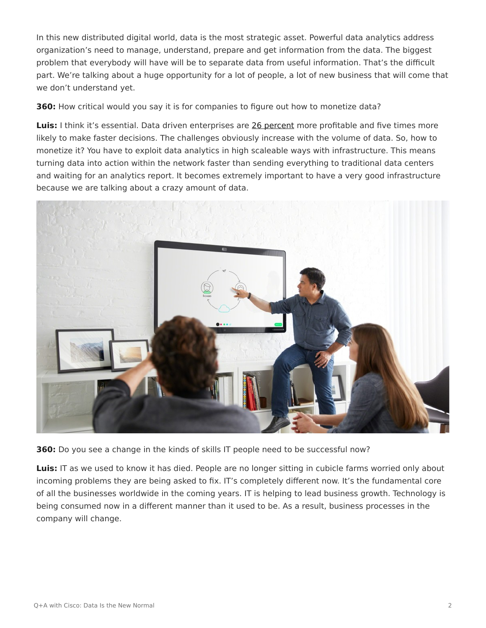In this new distributed digital world, data is the most strategic asset. Powerful data analytics address organization's need to manage, understand, prepare and get information from the data. The biggest problem that everybody will have will be to separate data from useful information. That's the difficult part. We're talking about a huge opportunity for a lot of people, a lot of new business that will come that we don't understand yet.

**360:** How critical would you say it is for companies to figure out how to monetize data?

**Luis:** I think it's essential. Data driven enterprises are [26 percent](http://www.cisco.com/c/dam/en/us/products/collateral/servers-unified-computing/mapr-optimized-de-wp.pdf) more profitable and five times more likely to make faster decisions. The challenges obviously increase with the volume of data. So, how to monetize it? You have to exploit data analytics in high scaleable ways with infrastructure. This means turning data into action within the network faster than sending everything to traditional data centers and waiting for an analytics report. It becomes extremely important to have a very good infrastructure because we are talking about a crazy amount of data.



**360:** Do you see a change in the kinds of skills IT people need to be successful now?

**Luis:** IT as we used to know it has died. People are no longer sitting in cubicle farms worried only about incoming problems they are being asked to fix. IT's completely different now. It's the fundamental core of all the businesses worldwide in the coming years. IT is helping to lead business growth. Technology is being consumed now in a different manner than it used to be. As a result, business processes in the company will change.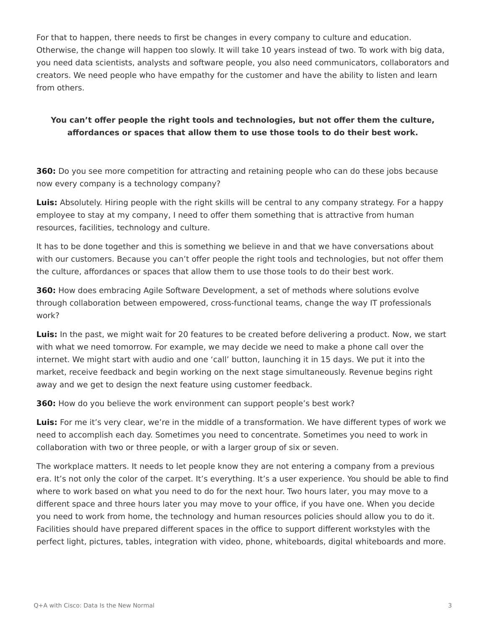For that to happen, there needs to first be changes in every company to culture and education. Otherwise, the change will happen too slowly. It will take 10 years instead of two. To work with big data, you need data scientists, analysts and software people, you also need communicators, collaborators and creators. We need people who have empathy for the customer and have the ability to listen and learn from others.

## **You can't offer people the right tools and technologies, but not offer them the culture, affordances or spaces that allow them to use those tools to do their best work.**

**360:** Do you see more competition for attracting and retaining people who can do these jobs because now every company is a technology company?

**Luis:** Absolutely. Hiring people with the right skills will be central to any company strategy. For a happy employee to stay at my company, I need to offer them something that is attractive from human resources, facilities, technology and culture.

It has to be done together and this is something we believe in and that we have conversations about with our customers. Because you can't offer people the right tools and technologies, but not offer them the culture, affordances or spaces that allow them to use those tools to do their best work.

**360:** How does embracing Agile Software Development, a set of methods where solutions evolve through collaboration between empowered, cross-functional teams, change the way IT professionals work?

**Luis:** In the past, we might wait for 20 features to be created before delivering a product. Now, we start with what we need tomorrow. For example, we may decide we need to make a phone call over the internet. We might start with audio and one 'call' button, launching it in 15 days. We put it into the market, receive feedback and begin working on the next stage simultaneously. Revenue begins right away and we get to design the next feature using customer feedback.

**360:** How do you believe the work environment can support people's best work?

**Luis:** For me it's very clear, we're in the middle of a transformation. We have different types of work we need to accomplish each day. Sometimes you need to concentrate. Sometimes you need to work in collaboration with two or three people, or with a larger group of six or seven.

The workplace matters. It needs to let people know they are not entering a company from a previous era. It's not only the color of the carpet. It's everything. It's a user experience. You should be able to find where to work based on what you need to do for the next hour. Two hours later, you may move to a different space and three hours later you may move to your office, if you have one. When you decide you need to work from home, the technology and human resources policies should allow you to do it. Facilities should have prepared different spaces in the office to support different workstyles with the perfect light, pictures, tables, integration with video, phone, whiteboards, digital whiteboards and more.